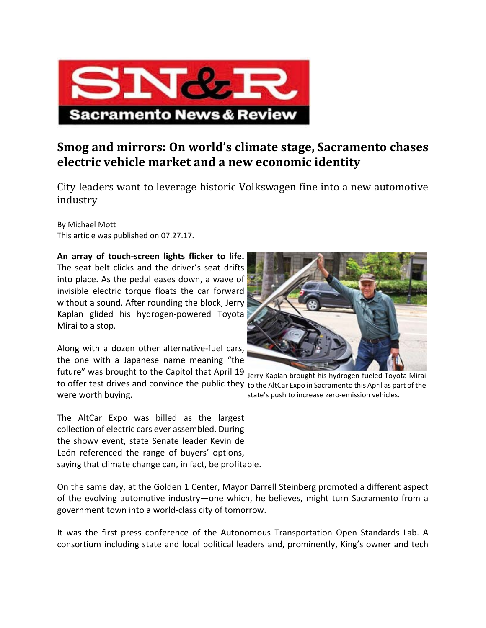

## **Smog and mirrors: On world's climate stage, Sacramento chases electric vehicle market and a new economic identity**

City leaders want to leverage historic Volkswagen fine into a new automotive industry 

By Michael Mott This article was published on 07.27.17.

**An array of touch‐screen lights flicker to life.** The seat belt clicks and the driver's seat drifts into place. As the pedal eases down, a wave of invisible electric torque floats the car forward without a sound. After rounding the block, Jerry Kaplan glided his hydrogen‐powered Toyota Mirai to a stop.

Along with a dozen other alternative-fuel cars, the one with a Japanese name meaning "the

future" was brought to the Capitol that April 19 Jerry Kaplan brought his hydrogen‐fueled Toyota Mirai to offer test drives and convince the public they to the AltCar Expo in Sacramento this April as part of the were worth buying.

The AltCar Expo was billed as the largest collection of electric cars ever assembled. During the showy event, state Senate leader Kevin de León referenced the range of buyers' options, saying that climate change can, in fact, be profitable.

state's push to increase zero-emission vehicles.

On the same day, at the Golden 1 Center, Mayor Darrell Steinberg promoted a different aspect of the evolving automotive industry—one which, he believes, might turn Sacramento from a government town into a world‐class city of tomorrow.

It was the first press conference of the Autonomous Transportation Open Standards Lab. A consortium including state and local political leaders and, prominently, King's owner and tech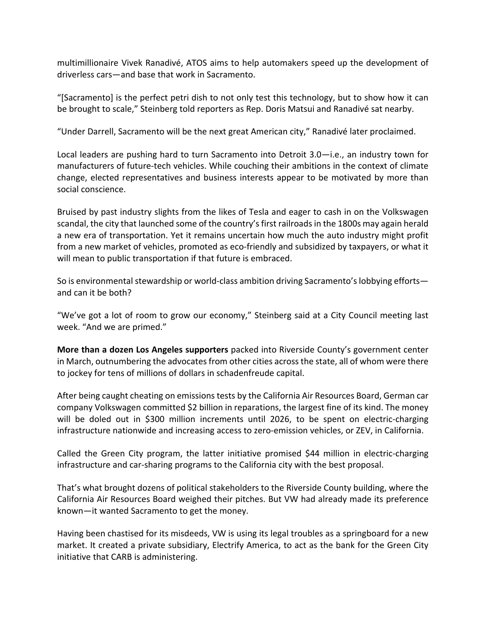multimillionaire Vivek Ranadivé, ATOS aims to help automakers speed up the development of driverless cars—and base that work in Sacramento.

"[Sacramento] is the perfect petri dish to not only test this technology, but to show how it can be brought to scale," Steinberg told reporters as Rep. Doris Matsui and Ranadivé sat nearby.

"Under Darrell, Sacramento will be the next great American city," Ranadivé later proclaimed.

Local leaders are pushing hard to turn Sacramento into Detroit 3.0—i.e., an industry town for manufacturers of future‐tech vehicles. While couching their ambitions in the context of climate change, elected representatives and business interests appear to be motivated by more than social conscience.

Bruised by past industry slights from the likes of Tesla and eager to cash in on the Volkswagen scandal, the city that launched some of the country's first railroads in the 1800s may again herald a new era of transportation. Yet it remains uncertain how much the auto industry might profit from a new market of vehicles, promoted as eco-friendly and subsidized by taxpayers, or what it will mean to public transportation if that future is embraced.

So is environmental stewardship or world-class ambition driving Sacramento's lobbying efforts and can it be both?

"We've got a lot of room to grow our economy," Steinberg said at a City Council meeting last week. "And we are primed."

**More than a dozen Los Angeles supporters** packed into Riverside County's government center in March, outnumbering the advocates from other cities across the state, all of whom were there to jockey for tens of millions of dollars in schadenfreude capital.

After being caught cheating on emissions tests by the California Air Resources Board, German car company Volkswagen committed \$2 billion in reparations, the largest fine of its kind. The money will be doled out in \$300 million increments until 2026, to be spent on electric-charging infrastructure nationwide and increasing access to zero-emission vehicles, or ZEV, in California.

Called the Green City program, the latter initiative promised \$44 million in electric‐charging infrastructure and car‐sharing programs to the California city with the best proposal.

That's what brought dozens of political stakeholders to the Riverside County building, where the California Air Resources Board weighed their pitches. But VW had already made its preference known—it wanted Sacramento to get the money.

Having been chastised for its misdeeds, VW is using its legal troubles as a springboard for a new market. It created a private subsidiary, Electrify America, to act as the bank for the Green City initiative that CARB is administering.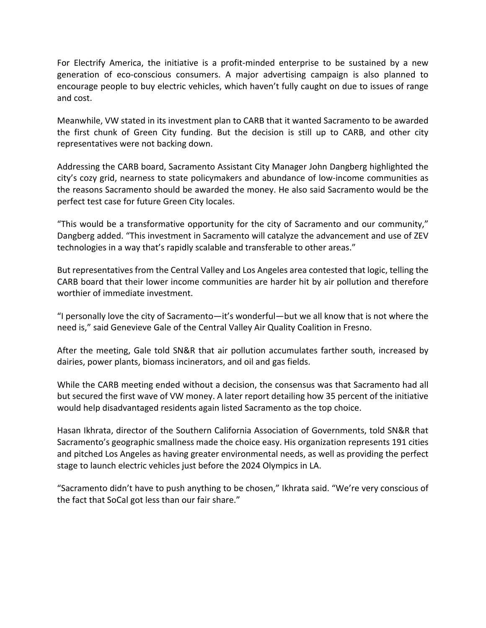For Electrify America, the initiative is a profit-minded enterprise to be sustained by a new generation of eco-conscious consumers. A major advertising campaign is also planned to encourage people to buy electric vehicles, which haven't fully caught on due to issues of range and cost.

Meanwhile, VW stated in its investment plan to CARB that it wanted Sacramento to be awarded the first chunk of Green City funding. But the decision is still up to CARB, and other city representatives were not backing down.

Addressing the CARB board, Sacramento Assistant City Manager John Dangberg highlighted the city's cozy grid, nearness to state policymakers and abundance of low‐income communities as the reasons Sacramento should be awarded the money. He also said Sacramento would be the perfect test case for future Green City locales.

"This would be a transformative opportunity for the city of Sacramento and our community," Dangberg added. "This investment in Sacramento will catalyze the advancement and use of ZEV technologies in a way that's rapidly scalable and transferable to other areas."

But representatives from the Central Valley and Los Angeles area contested that logic, telling the CARB board that their lower income communities are harder hit by air pollution and therefore worthier of immediate investment.

"I personally love the city of Sacramento—it's wonderful—but we all know that is not where the need is," said Genevieve Gale of the Central Valley Air Quality Coalition in Fresno.

After the meeting, Gale told SN&R that air pollution accumulates farther south, increased by dairies, power plants, biomass incinerators, and oil and gas fields.

While the CARB meeting ended without a decision, the consensus was that Sacramento had all but secured the first wave of VW money. A later report detailing how 35 percent of the initiative would help disadvantaged residents again listed Sacramento as the top choice.

Hasan Ikhrata, director of the Southern California Association of Governments, told SN&R that Sacramento's geographic smallness made the choice easy. His organization represents 191 cities and pitched Los Angeles as having greater environmental needs, as well as providing the perfect stage to launch electric vehicles just before the 2024 Olympics in LA.

"Sacramento didn't have to push anything to be chosen," Ikhrata said. "We're very conscious of the fact that SoCal got less than our fair share."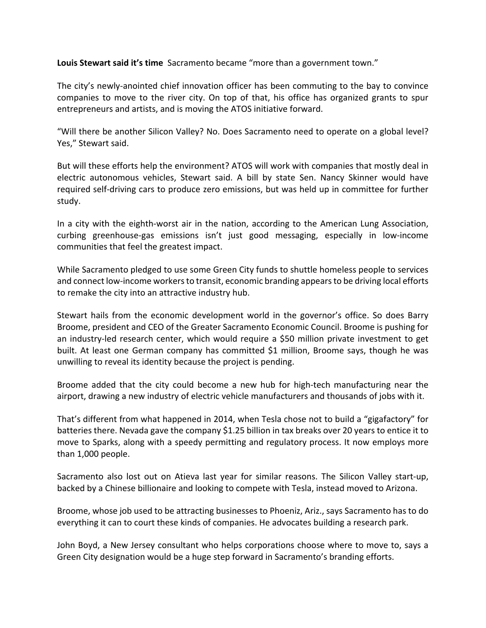**Louis Stewart said it's time** Sacramento became "more than a government town."

The city's newly‐anointed chief innovation officer has been commuting to the bay to convince companies to move to the river city. On top of that, his office has organized grants to spur entrepreneurs and artists, and is moving the ATOS initiative forward.

"Will there be another Silicon Valley? No. Does Sacramento need to operate on a global level? Yes," Stewart said.

But will these efforts help the environment? ATOS will work with companies that mostly deal in electric autonomous vehicles, Stewart said. A bill by state Sen. Nancy Skinner would have required self‐driving cars to produce zero emissions, but was held up in committee for further study.

In a city with the eighth‐worst air in the nation, according to the American Lung Association, curbing greenhouse‐gas emissions isn't just good messaging, especially in low‐income communities that feel the greatest impact.

While Sacramento pledged to use some Green City funds to shuttle homeless people to services and connect low-income workers to transit, economic branding appears to be driving local efforts to remake the city into an attractive industry hub.

Stewart hails from the economic development world in the governor's office. So does Barry Broome, president and CEO of the Greater Sacramento Economic Council. Broome is pushing for an industry‐led research center, which would require a \$50 million private investment to get built. At least one German company has committed \$1 million, Broome says, though he was unwilling to reveal its identity because the project is pending.

Broome added that the city could become a new hub for high‐tech manufacturing near the airport, drawing a new industry of electric vehicle manufacturers and thousands of jobs with it.

That's different from what happened in 2014, when Tesla chose not to build a "gigafactory" for batteries there. Nevada gave the company \$1.25 billion in tax breaks over 20 years to entice it to move to Sparks, along with a speedy permitting and regulatory process. It now employs more than 1,000 people.

Sacramento also lost out on Atieva last year for similar reasons. The Silicon Valley start‐up, backed by a Chinese billionaire and looking to compete with Tesla, instead moved to Arizona.

Broome, whose job used to be attracting businesses to Phoeniz, Ariz., says Sacramento has to do everything it can to court these kinds of companies. He advocates building a research park.

John Boyd, a New Jersey consultant who helps corporations choose where to move to, says a Green City designation would be a huge step forward in Sacramento's branding efforts.